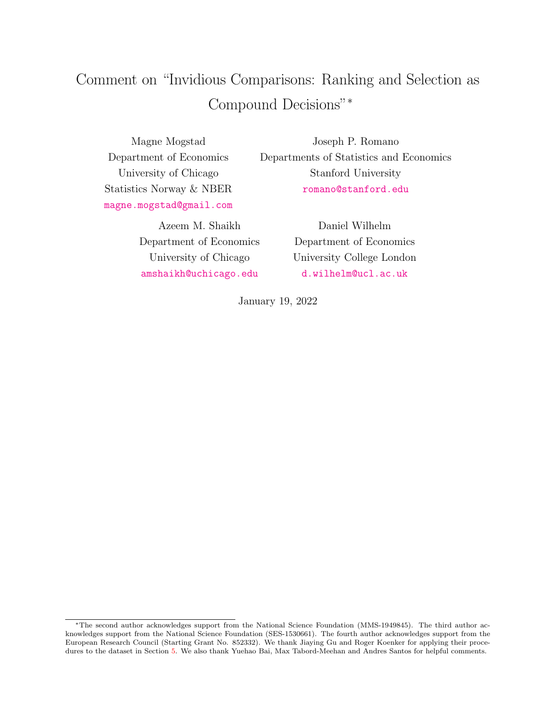# <span id="page-0-0"></span>Comment on "Invidious Comparisons: Ranking and Selection as Compound Decisions"<sup>∗</sup>

Magne Mogstad Department of Economics University of Chicago Statistics Norway & NBER <magne.mogstad@gmail.com>

> Azeem M. Shaikh Department of Economics University of Chicago <amshaikh@uchicago.edu>

Joseph P. Romano Departments of Statistics and Economics Stanford University <romano@stanford.edu>

> Daniel Wilhelm Department of Economics University College London <d.wilhelm@ucl.ac.uk>

January 19, 2022

<sup>∗</sup>The second author acknowledges support from the National Science Foundation (MMS-1949845). The third author acknowledges support from the National Science Foundation (SES-1530661). The fourth author acknowledges support from the European Research Council (Starting Grant No. 852332). We thank Jiaying Gu and Roger Koenker for applying their procedures to the dataset in Section [5.](#page-5-0) We also thank Yuehao Bai, Max Tabord-Meehan and Andres Santos for helpful comments.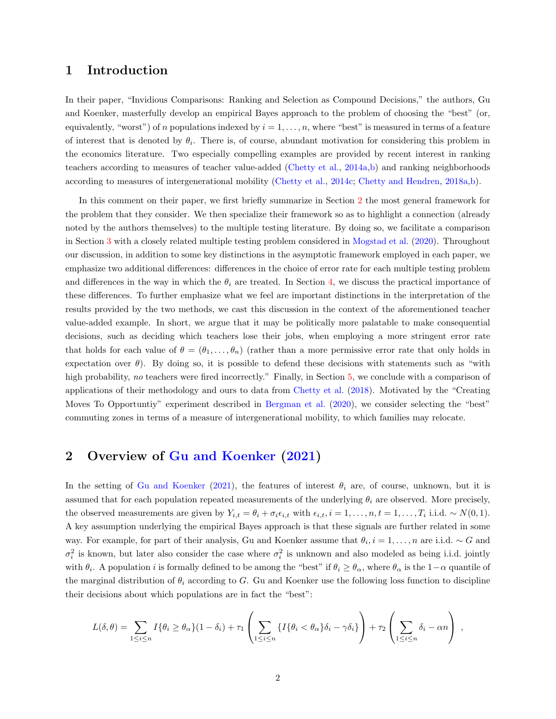#### 1 Introduction

In their paper, "Invidious Comparisons: Ranking and Selection as Compound Decisions," the authors, Gu and Koenker, masterfully develop an empirical Bayes approach to the problem of choosing the "best" (or, equivalently, "worst") of n populations indexed by  $i = 1, \ldots, n$ , where "best" is measured in terms of a feature of interest that is denoted by  $\theta_i$ . There is, of course, abundant motivation for considering this problem in the economics literature. Two especially compelling examples are provided by recent interest in ranking teachers according to measures of teacher value-added [\(Chetty et al.,](#page-7-0) [2014a,](#page-7-0)[b\)](#page-7-1) and ranking neighborhoods according to measures of intergenerational mobility [\(Chetty et al.,](#page-7-2) [2014c;](#page-7-2) [Chetty and Hendren,](#page-7-3) [2018a,](#page-7-3)[b\)](#page-7-4).

In this comment on their paper, we first briefly summarize in Section [2](#page-1-0) the most general framework for the problem that they consider. We then specialize their framework so as to highlight a connection (already noted by the authors themselves) to the multiple testing literature. By doing so, we facilitate a comparison in Section [3](#page-2-0) with a closely related multiple testing problem considered in [Mogstad et al.](#page-8-0) [\(2020\)](#page-8-0). Throughout our discussion, in addition to some key distinctions in the asymptotic framework employed in each paper, we emphasize two additional differences: differences in the choice of error rate for each multiple testing problem and differences in the way in which the  $\theta_i$  are treated. In Section [4,](#page-4-0) we discuss the practical importance of these differences. To further emphasize what we feel are important distinctions in the interpretation of the results provided by the two methods, we cast this discussion in the context of the aforementioned teacher value-added example. In short, we argue that it may be politically more palatable to make consequential decisions, such as deciding which teachers lose their jobs, when employing a more stringent error rate that holds for each value of  $\theta = (\theta_1, \dots, \theta_n)$  (rather than a more permissive error rate that only holds in expectation over  $\theta$ ). By doing so, it is possible to defend these decisions with statements such as "with high probability, no teachers were fired incorrectly." Finally, in Section [5,](#page-5-0) we conclude with a comparison of applications of their methodology and ours to data from [Chetty et al.](#page-7-5) [\(2018\)](#page-7-5). Motivated by the "Creating Moves To Opportuntiy" experiment described in [Bergman et al.](#page-7-6) [\(2020\)](#page-7-6), we consider selecting the "best" commuting zones in terms of a measure of intergenerational mobility, to which families may relocate.

#### <span id="page-1-0"></span>2 Overview of [Gu and Koenker](#page-7-7) [\(2021\)](#page-7-7)

In the setting of [Gu and Koenker](#page-7-7) [\(2021\)](#page-7-7), the features of interest  $\theta_i$  are, of course, unknown, but it is assumed that for each population repeated measurements of the underlying  $\theta_i$  are observed. More precisely, the observed measurements are given by  $Y_{i,t} = \theta_i + \sigma_i \epsilon_{i,t}$  with  $\epsilon_{i,t}$ ,  $i = 1, \ldots, n$ ,  $t = 1, \ldots, T_i$  i.i.d.  $\sim N(0, 1)$ . A key assumption underlying the empirical Bayes approach is that these signals are further related in some way. For example, for part of their analysis, Gu and Koenker assume that  $\theta_i$ ,  $i = 1, ..., n$  are i.i.d.  $\sim G$  and  $\sigma_i^2$  is known, but later also consider the case where  $\sigma_i^2$  is unknown and also modeled as being i.i.d. jointly with  $\theta_i$ . A population i is formally defined to be among the "best" if  $\theta_i \ge \theta_\alpha$ , where  $\theta_\alpha$  is the  $1-\alpha$  quantile of the marginal distribution of  $\theta_i$  according to G. Gu and Koenker use the following loss function to discipline their decisions about which populations are in fact the "best":

$$
L(\delta, \theta) = \sum_{1 \leq i \leq n} I\{\theta_i \geq \theta_\alpha\} (1 - \delta_i) + \tau_1 \left( \sum_{1 \leq i \leq n} \{I\{\theta_i < \theta_\alpha\} \delta_i - \gamma \delta_i\} \right) + \tau_2 \left( \sum_{1 \leq i \leq n} \delta_i - \alpha n \right) ,
$$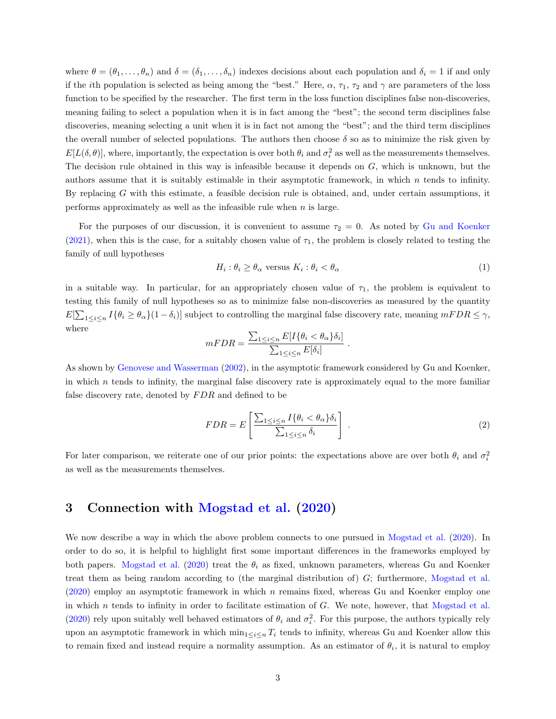where  $\theta = (\theta_1, \ldots, \theta_n)$  and  $\delta = (\delta_1, \ldots, \delta_n)$  indexes decisions about each population and  $\delta_i = 1$  if and only if the *i*th population is selected as being among the "best." Here,  $\alpha$ ,  $\tau_1$ ,  $\tau_2$  and  $\gamma$  are parameters of the loss function to be specified by the researcher. The first term in the loss function disciplines false non-discoveries, meaning failing to select a population when it is in fact among the "best"; the second term disciplines false discoveries, meaning selecting a unit when it is in fact not among the "best"; and the third term disciplines the overall number of selected populations. The authors then choose  $\delta$  so as to minimize the risk given by  $E[L(\delta, \theta)],$  where, importantly, the expectation is over both  $\theta_i$  and  $\sigma_i^2$  as well as the measurements themselves. The decision rule obtained in this way is infeasible because it depends on G, which is unknown, but the authors assume that it is suitably estimable in their asymptotic framework, in which  $n$  tends to infinity. By replacing G with this estimate, a feasible decision rule is obtained, and, under certain assumptions, it performs approximately as well as the infeasible rule when  $n$  is large.

For the purposes of our discussion, it is convenient to assume  $\tau_2 = 0$ . As noted by [Gu and Koenker](#page-7-7) [\(2021\)](#page-7-7), when this is the case, for a suitably chosen value of  $\tau_1$ , the problem is closely related to testing the family of null hypotheses

<span id="page-2-1"></span>
$$
H_i: \theta_i \ge \theta_\alpha \text{ versus } K_i: \theta_i < \theta_\alpha \tag{1}
$$

in a suitable way. In particular, for an appropriately chosen value of  $\tau_1$ , the problem is equivalent to testing this family of null hypotheses so as to minimize false non-discoveries as measured by the quantity  $E[\sum_{1 \leq i \leq n} I\{\theta_i \geq \theta_\alpha\}(1-\delta_i)]$  subject to controlling the marginal false discovery rate, meaning  $mFDR \leq \gamma$ , where

$$
mFDR = \frac{\sum_{1 \le i \le n} E[I\{\theta_i < \theta_\alpha\}\delta_i]}{\sum_{1 \le i \le n} E[\delta_i]}
$$

As shown by [Genovese and Wasserman](#page-7-8) [\(2002\)](#page-7-8), in the asymptotic framework considered by Gu and Koenker, in which  $n$  tends to infinity, the marginal false discovery rate is approximately equal to the more familiar false discovery rate, denoted by  $FDR$  and defined to be

<span id="page-2-2"></span>
$$
FDR = E\left[\frac{\sum_{1 \le i \le n} I\{\theta_i < \theta_\alpha\}\delta_i}{\sum_{1 \le i \le n} \delta_i}\right].\tag{2}
$$

.

For later comparison, we reiterate one of our prior points: the expectations above are over both  $\theta_i$  and  $\sigma_i^2$ as well as the measurements themselves.

#### <span id="page-2-0"></span>3 Connection with [Mogstad et al.](#page-8-0) [\(2020\)](#page-8-0)

We now describe a way in which the above problem connects to one pursued in [Mogstad et al.](#page-8-0) [\(2020\)](#page-8-0). In order to do so, it is helpful to highlight first some important differences in the frameworks employed by both papers. [Mogstad et al.](#page-8-0) [\(2020\)](#page-8-0) treat the  $\theta_i$  as fixed, unknown parameters, whereas Gu and Koenker treat them as being random according to (the marginal distribution of) G; furthermore, [Mogstad et al.](#page-8-0) [\(2020\)](#page-8-0) employ an asymptotic framework in which n remains fixed, whereas Gu and Koenker employ one in which n tends to infinity in order to facilitate estimation of  $G$ . We note, however, that [Mogstad et al.](#page-8-0) [\(2020\)](#page-8-0) rely upon suitably well behaved estimators of  $\theta_i$  and  $\sigma_i^2$ . For this purpose, the authors typically rely upon an asymptotic framework in which  $\min_{1 \leq i \leq n} T_i$  tends to infinity, whereas Gu and Koenker allow this to remain fixed and instead require a normality assumption. As an estimator of  $\theta_i$ , it is natural to employ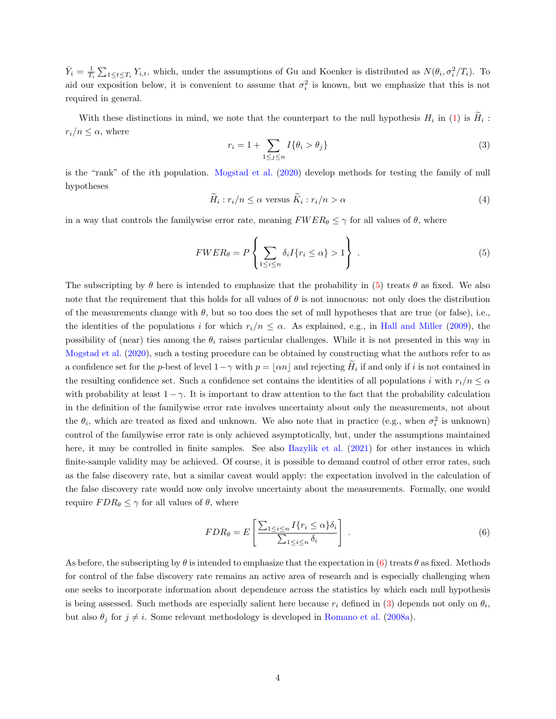$\bar{Y}_i = \frac{1}{T_i} \sum_{1 \leq t \leq T_i} Y_{i,t}$ , which, under the assumptions of Gu and Koenker is distributed as  $N(\theta_i, \sigma_i^2/T_i)$ . To aid our exposition below, it is convenient to assume that  $\sigma_i^2$  is known, but we emphasize that this is not required in general.

With these distinctions in mind, we note that the counterpart to the null hypothesis  $H_i$  in [\(1\)](#page-2-1) is  $H_i$ :  $r_i/n \leq \alpha$ , where

<span id="page-3-2"></span>
$$
r_i = 1 + \sum_{1 \le j \le n} I\{\theta_i > \theta_j\} \tag{3}
$$

is the "rank" of the ith population. [Mogstad et al.](#page-8-0) [\(2020\)](#page-8-0) develop methods for testing the family of null hypotheses

$$
\widetilde{H}_i: r_i/n \le \alpha \text{ versus } \widetilde{K}_i: r_i/n > \alpha \tag{4}
$$

in a way that controls the familywise error rate, meaning  $FWER_{\theta} \leq \gamma$  for all values of  $\theta$ , where

<span id="page-3-0"></span>
$$
FWER_{\theta} = P\left\{\sum_{1 \le i \le n} \delta_i I\{r_i \le \alpha\} > 1\right\}.
$$
\n
$$
(5)
$$

The subscripting by  $\theta$  here is intended to emphasize that the probability in [\(5\)](#page-3-0) treats  $\theta$  as fixed. We also note that the requirement that this holds for all values of  $\theta$  is not innocuous: not only does the distribution of the measurements change with  $\theta$ , but so too does the set of null hypotheses that are true (or false), i.e., the identities of the populations i for which  $r_i/n \leq \alpha$ . As explained, e.g., in [Hall and Miller](#page-7-9) [\(2009\)](#page-7-9), the possibility of (near) ties among the  $\theta_i$  raises particular challenges. While it is not presented in this way in [Mogstad et al.](#page-8-0) [\(2020\)](#page-8-0), such a testing procedure can be obtained by constructing what the authors refer to as a confidence set for the p-best of level  $1-\gamma$  with  $p = \lfloor \alpha n \rfloor$  and rejecting  $H_i$  if and only if i is not contained in the resulting confidence set. Such a confidence set contains the identities of all populations i with  $r_i/n \leq \alpha$ with probability at least  $1 - \gamma$ . It is important to draw attention to the fact that the probability calculation in the definition of the familywise error rate involves uncertainty about only the measurements, not about the  $\theta_i$ , which are treated as fixed and unknown. We also note that in practice (e.g., when  $\sigma_i^2$  is unknown) control of the familywise error rate is only achieved asymptotically, but, under the assumptions maintained here, it may be controlled in finite samples. See also [Bazylik et al.](#page-7-10) [\(2021\)](#page-7-10) for other instances in which finite-sample validity may be achieved. Of course, it is possible to demand control of other error rates, such as the false discovery rate, but a similar caveat would apply: the expectation involved in the calculation of the false discovery rate would now only involve uncertainty about the measurements. Formally, one would require  $FDR_{\theta} \leq \gamma$  for all values of  $\theta$ , where

<span id="page-3-1"></span>
$$
FDR_{\theta} = E\left[\frac{\sum_{1 \le i \le n} I\{r_i \le \alpha\} \delta_i}{\sum_{1 \le i \le n} \delta_i}\right].
$$
\n
$$
(6)
$$

As before, the subscripting by  $\theta$  is intended to emphasize that the expectation in [\(6\)](#page-3-1) treats  $\theta$  as fixed. Methods for control of the false discovery rate remains an active area of research and is especially challenging when one seeks to incorporate information about dependence across the statistics by which each null hypothesis is being assessed. Such methods are especially salient here because  $r_i$  defined in [\(3\)](#page-3-2) depends not only on  $\theta_i$ , but also  $\theta_j$  for  $j \neq i$ . Some relevant methodology is developed in [Romano et al.](#page-8-1) [\(2008a\)](#page-8-1).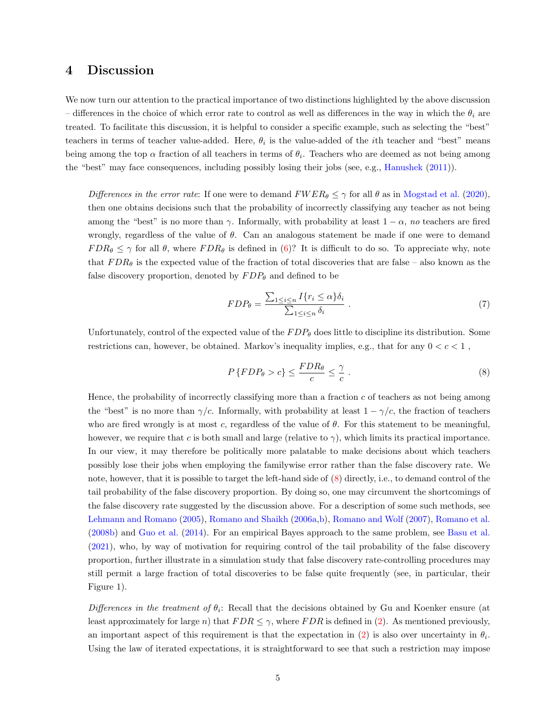### <span id="page-4-0"></span>4 Discussion

We now turn our attention to the practical importance of two distinctions highlighted by the above discussion – differences in the choice of which error rate to control as well as differences in the way in which the  $\theta_i$  are treated. To facilitate this discussion, it is helpful to consider a specific example, such as selecting the "best" teachers in terms of teacher value-added. Here,  $\theta_i$  is the value-added of the *i*th teacher and "best" means being among the top  $\alpha$  fraction of all teachers in terms of  $\theta_i$ . Teachers who are deemed as not being among the "best" may face consequences, including possibly losing their jobs (see, e.g., [Hanushek](#page-7-11) [\(2011\)](#page-7-11)).

Differences in the error rate: If one were to demand  $FWER_{\theta} \leq \gamma$  for all  $\theta$  as in [Mogstad et al.](#page-8-0) [\(2020\)](#page-8-0), then one obtains decisions such that the probability of incorrectly classifying any teacher as not being among the "best" is no more than  $\gamma$ . Informally, with probability at least  $1 - \alpha$ , no teachers are fired wrongly, regardless of the value of  $\theta$ . Can an analogous statement be made if one were to demand  $FDR_{\theta} \leq \gamma$  for all  $\theta$ , where  $FDR_{\theta}$  is defined in [\(6\)](#page-3-1)? It is difficult to do so. To appreciate why, note that  $FDR_{\theta}$  is the expected value of the fraction of total discoveries that are false – also known as the false discovery proportion, denoted by  $FDP_\theta$  and defined to be

<span id="page-4-2"></span>
$$
FDP_{\theta} = \frac{\sum_{1 \le i \le n} I\{r_i \le \alpha\} \delta_i}{\sum_{1 \le i \le n} \delta_i} \,. \tag{7}
$$

Unfortunately, control of the expected value of the  $FDP_\theta$  does little to discipline its distribution. Some restrictions can, however, be obtained. Markov's inequality implies, e.g., that for any  $0 < c < 1$ ,

<span id="page-4-1"></span>
$$
P\left\{FDP_{\theta} > c\right\} \le \frac{FDR_{\theta}}{c} \le \frac{\gamma}{c} \tag{8}
$$

Hence, the probability of incorrectly classifying more than a fraction  $c$  of teachers as not being among the "best" is no more than  $\gamma/c$ . Informally, with probability at least  $1 - \gamma/c$ , the fraction of teachers who are fired wrongly is at most c, regardless of the value of  $\theta$ . For this statement to be meaningful, however, we require that c is both small and large (relative to  $\gamma$ ), which limits its practical importance. In our view, it may therefore be politically more palatable to make decisions about which teachers possibly lose their jobs when employing the familywise error rather than the false discovery rate. We note, however, that it is possible to target the left-hand side of [\(8\)](#page-4-1) directly, i.e., to demand control of the tail probability of the false discovery proportion. By doing so, one may circumvent the shortcomings of the false discovery rate suggested by the discussion above. For a description of some such methods, see [Lehmann and Romano](#page-7-12) [\(2005\)](#page-7-12), [Romano and Shaikh](#page-8-2) [\(2006a,](#page-8-2)[b\)](#page-8-3), [Romano and Wolf](#page-8-4) [\(2007\)](#page-8-4), [Romano et al.](#page-8-5) [\(2008b\)](#page-8-5) and [Guo et al.](#page-7-13) [\(2014\)](#page-7-13). For an empirical Bayes approach to the same problem, see [Basu et al.](#page-7-14) [\(2021\)](#page-7-14), who, by way of motivation for requiring control of the tail probability of the false discovery proportion, further illustrate in a simulation study that false discovery rate-controlling procedures may still permit a large fraction of total discoveries to be false quite frequently (see, in particular, their Figure 1).

Differences in the treatment of  $\theta_i$ : Recall that the decisions obtained by Gu and Koenker ensure (at least approximately for large n) that  $FDR \leq \gamma$ , where  $FDR$  is defined in [\(2\)](#page-2-2). As mentioned previously, an important aspect of this requirement is that the expectation in [\(2\)](#page-2-2) is also over uncertainty in  $\theta_i$ . Using the law of iterated expectations, it is straightforward to see that such a restriction may impose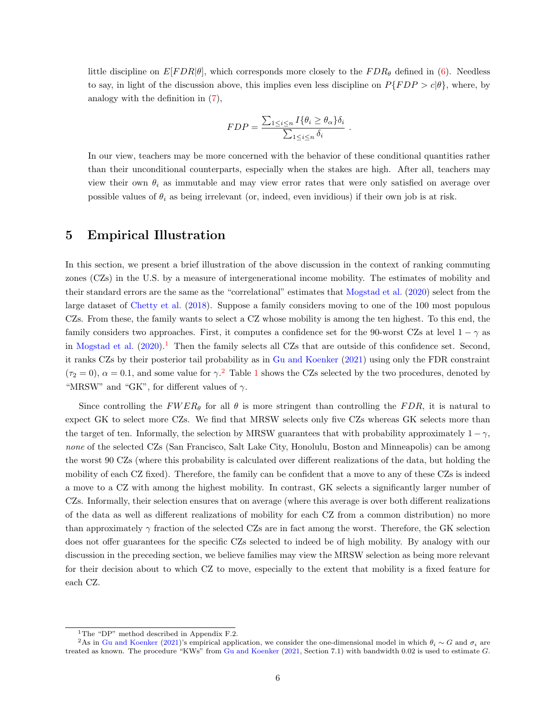little discipline on  $E[FDR|\theta]$ , which corresponds more closely to the  $FDR_{\theta}$  defined in [\(6\)](#page-3-1). Needless to say, in light of the discussion above, this implies even less discipline on  $P\{FDP > c|\theta\}$ , where, by analogy with the definition in [\(7\)](#page-4-2),

$$
FDP = \frac{\sum_{1 \le i \le n} I\{\theta_i \ge \theta_\alpha\} \delta_i}{\sum_{1 \le i \le n} \delta_i}.
$$

In our view, teachers may be more concerned with the behavior of these conditional quantities rather than their unconditional counterparts, especially when the stakes are high. After all, teachers may view their own  $\theta_i$  as immutable and may view error rates that were only satisfied on average over possible values of  $\theta_i$  as being irrelevant (or, indeed, even invidious) if their own job is at risk.

### <span id="page-5-0"></span>5 Empirical Illustration

In this section, we present a brief illustration of the above discussion in the context of ranking commuting zones (CZs) in the U.S. by a measure of intergenerational income mobility. The estimates of mobility and their standard errors are the same as the "correlational" estimates that [Mogstad et al.](#page-8-0) [\(2020\)](#page-8-0) select from the large dataset of [Chetty et al.](#page-7-5) [\(2018\)](#page-7-5). Suppose a family considers moving to one of the 100 most populous CZs. From these, the family wants to select a CZ whose mobility is among the ten highest. To this end, the family considers two approaches. First, it computes a confidence set for the 90-worst CZs at level  $1 - \gamma$  as in [Mogstad et al.](#page-8-0)  $(2020).<sup>1</sup>$  $(2020).<sup>1</sup>$  $(2020).<sup>1</sup>$  $(2020).<sup>1</sup>$  Then the family selects all CZs that are outside of this confidence set. Second, it ranks CZs by their posterior tail probability as in [Gu and Koenker](#page-7-7) [\(2021\)](#page-7-7) using only the FDR constraint  $(\tau_2 = 0)$  $(\tau_2 = 0)$  $(\tau_2 = 0)$ ,  $\alpha = 0.1$  $\alpha = 0.1$ , and some value for  $\gamma$ .<sup>2</sup> Table 1 shows the CZs selected by the two procedures, denoted by "MRSW" and "GK", for different values of  $\gamma$ .

Since controlling the  $FWER_{\theta}$  for all  $\theta$  is more stringent than controlling the FDR, it is natural to expect GK to select more CZs. We find that MRSW selects only five CZs whereas GK selects more than the target of ten. Informally, the selection by MRSW guarantees that with probability approximately  $1 - \gamma$ , none of the selected CZs (San Francisco, Salt Lake City, Honolulu, Boston and Minneapolis) can be among the worst 90 CZs (where this probability is calculated over different realizations of the data, but holding the mobility of each CZ fixed). Therefore, the family can be confident that a move to any of these CZs is indeed a move to a CZ with among the highest mobility. In contrast, GK selects a significantly larger number of CZs. Informally, their selection ensures that on average (where this average is over both different realizations of the data as well as different realizations of mobility for each CZ from a common distribution) no more than approximately  $\gamma$  fraction of the selected CZs are in fact among the worst. Therefore, the GK selection does not offer guarantees for the specific CZs selected to indeed be of high mobility. By analogy with our discussion in the preceding section, we believe families may view the MRSW selection as being more relevant for their decision about to which CZ to move, especially to the extent that mobility is a fixed feature for each CZ.

<sup>1</sup>The "DP" method described in Appendix F.2.

<sup>&</sup>lt;sup>2</sup>As in [Gu and Koenker](#page-7-7) [\(2021\)](#page-7-7)'s empirical application, we consider the one-dimensional model in which  $\theta_i \sim G$  and  $\sigma_i$  are treated as known. The procedure "KWs" from [Gu and Koenker](#page-7-7) [\(2021,](#page-7-7) Section 7.1) with bandwidth 0.02 is used to estimate G.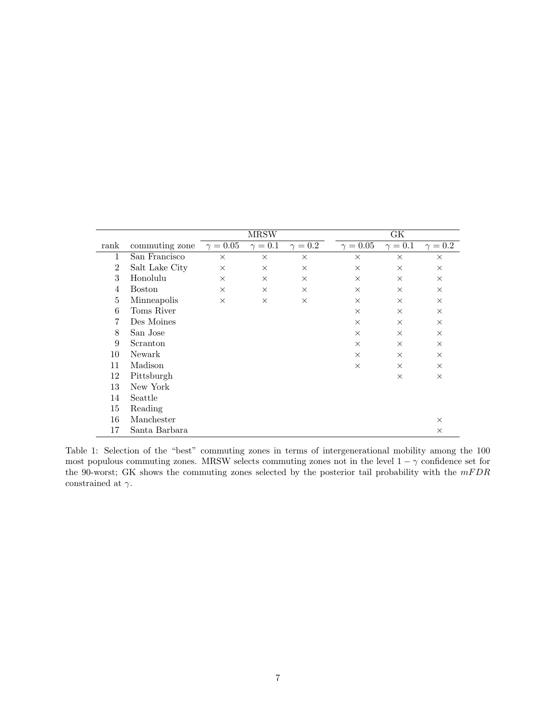<span id="page-6-0"></span>

|                |                | <b>MRSW</b>     |                |                | GК                         |                |              |
|----------------|----------------|-----------------|----------------|----------------|----------------------------|----------------|--------------|
| rank           | commuting zone | $\gamma = 0.05$ | $\gamma = 0.1$ | $\gamma = 0.2$ | $\gamma = \overline{0.05}$ | $\gamma = 0.1$ | $\gamma=0.2$ |
| 1              | San Francisco  | $\times$        | $\times$       | $\times$       | $\times$                   | $\times$       | $\times$     |
| $\overline{2}$ | Salt Lake City | $\times$        | $\times$       | $\times$       | $\times$                   | $\times$       | $\times$     |
| 3              | Honolulu       | $\times$        | $\times$       | $\times$       | $\times$                   | $\times$       | $\times$     |
| 4              | <b>Boston</b>  | $\times$        | $\times$       | $\times$       | $\times$                   | $\times$       | $\times$     |
| 5              | Minneapolis    | $\times$        | $\times$       | $\times$       | $\times$                   | $\times$       | $\times$     |
| 6              | Toms River     |                 |                |                | $\times$                   | $\times$       | $\times$     |
| 7              | Des Moines     |                 |                |                | $\times$                   | $\times$       | $\times$     |
| 8              | San Jose       |                 |                |                | $\times$                   | $\times$       | $\times$     |
| 9              | Scranton       |                 |                |                | $\times$                   | $\times$       | $\times$     |
| 10             | Newark         |                 |                |                | $\times$                   | $\times$       | $\times$     |
| 11             | Madison        |                 |                |                | $\times$                   | $\times$       | $\times$     |
| 12             | Pittsburgh     |                 |                |                |                            | $\times$       | $\times$     |
| 13             | New York       |                 |                |                |                            |                |              |
| 14             | Seattle        |                 |                |                |                            |                |              |
| 15             | Reading        |                 |                |                |                            |                |              |
| 16             | Manchester     |                 |                |                |                            |                | $\times$     |
| 17             | Santa Barbara  |                 |                |                |                            |                | $\times$     |

Table 1: Selection of the "best" commuting zones in terms of intergenerational mobility among the 100 most populous commuting zones. MRSW selects commuting zones not in the level  $1 - \gamma$  confidence set for the 90-worst; GK shows the commuting zones selected by the posterior tail probability with the  $mFDR$ constrained at  $\gamma$ .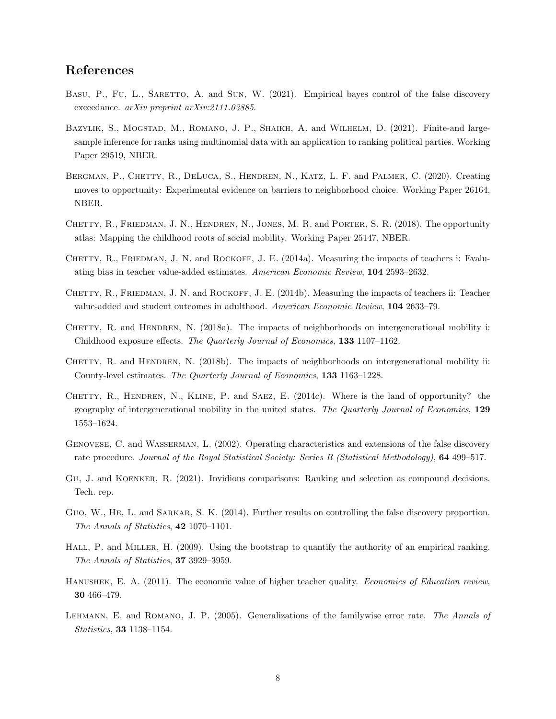## References

- <span id="page-7-14"></span>BASU, P., FU, L., SARETTO, A. and SUN, W. (2021). Empirical bayes control of the false discovery exceedance. arXiv preprint arXiv:2111.03885.
- <span id="page-7-10"></span>BAZYLIK, S., MOGSTAD, M., ROMANO, J. P., SHAIKH, A. and WILHELM, D. (2021). Finite-and largesample inference for ranks using multinomial data with an application to ranking political parties. Working Paper 29519, NBER.
- <span id="page-7-6"></span>BERGMAN, P., CHETTY, R., DELUCA, S., HENDREN, N., KATZ, L. F. and PALMER, C. (2020). Creating moves to opportunity: Experimental evidence on barriers to neighborhood choice. Working Paper 26164, NBER.
- <span id="page-7-5"></span>CHETTY, R., FRIEDMAN, J. N., HENDREN, N., JONES, M. R. and PORTER, S. R. (2018). The opportunity atlas: Mapping the childhood roots of social mobility. Working Paper 25147, NBER.
- <span id="page-7-0"></span>CHETTY, R., FRIEDMAN, J. N. and ROCKOFF, J. E. (2014a). Measuring the impacts of teachers i: Evaluating bias in teacher value-added estimates. American Economic Review, 104 2593–2632.
- <span id="page-7-1"></span>CHETTY, R., FRIEDMAN, J. N. and ROCKOFF, J. E. (2014b). Measuring the impacts of teachers ii: Teacher value-added and student outcomes in adulthood. American Economic Review, 104 2633–79.
- <span id="page-7-3"></span>CHETTY, R. and HENDREN, N. (2018a). The impacts of neighborhoods on intergenerational mobility i: Childhood exposure effects. The Quarterly Journal of Economics, 133 1107–1162.
- <span id="page-7-4"></span>CHETTY, R. and HENDREN, N. (2018b). The impacts of neighborhoods on intergenerational mobility ii: County-level estimates. The Quarterly Journal of Economics, 133 1163–1228.
- <span id="page-7-2"></span>CHETTY, R., HENDREN, N., KLINE, P. and SAEZ, E. (2014c). Where is the land of opportunity? the geography of intergenerational mobility in the united states. The Quarterly Journal of Economics, 129 1553–1624.
- <span id="page-7-8"></span>Genovese, C. and Wasserman, L. (2002). Operating characteristics and extensions of the false discovery rate procedure. Journal of the Royal Statistical Society: Series B (Statistical Methodology), 64 499–517.
- <span id="page-7-7"></span>Gu, J. and Koenker, R. (2021). Invidious comparisons: Ranking and selection as compound decisions. Tech. rep.
- <span id="page-7-13"></span>GUO, W., HE, L. and SARKAR, S. K. (2014). Further results on controlling the false discovery proportion. The Annals of Statistics, 42 1070–1101.
- <span id="page-7-9"></span>HALL, P. and MILLER, H. (2009). Using the bootstrap to quantify the authority of an empirical ranking. The Annals of Statistics, 37 3929–3959.
- <span id="page-7-11"></span>HANUSHEK, E. A. (2011). The economic value of higher teacher quality. *Economics of Education review*, 30 466–479.
- <span id="page-7-12"></span>Lehmann, E. and Romano, J. P. (2005). Generalizations of the familywise error rate. The Annals of Statistics, 33 1138–1154.